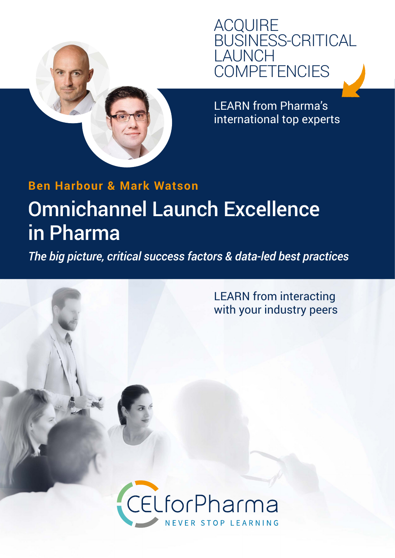

LEARN from Pharma's international top experts

# **Ben Harbour & Mark Watson** [Omnichannel Launch Excellence](https://www.celforpharma.com/course/omnichannel-launch-excellence-pharma?utm_source=C.E.L.forpharma&utm_medium=brochure&utm_campaign=all)  in Pharma

*The big picture, critical success factors & data-led best practices*

LEARN from interacting with your industry peers

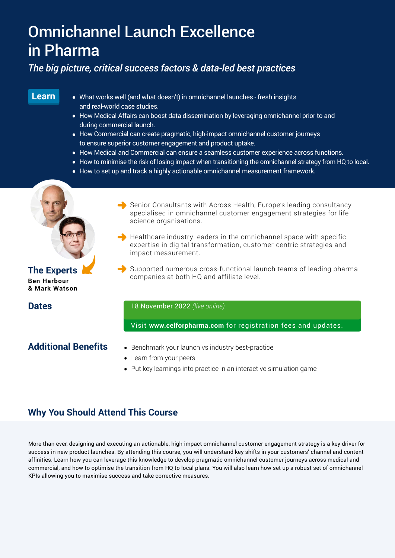## [Omnichannel Launch Excellence](https://www.celforpharma.com/course/omnichannel-launch-excellence-pharma?utm_source=C.E.L.forpharma&utm_medium=brochure&utm_campaign=all)  in Pharma

## *The big picture, critical success factors & data-led best practices*

### **Learn**

- What works well (and what doesn't) in omnichannel launches fresh insights and real-world case studies.
- How Medical Affairs can boost data dissemination by leveraging omnichannel prior to and during commercial launch.
- How Commercial can create pragmatic, high-impact omnichannel customer journeys to ensure superior customer engagement and product uptake.
- How Medical and Commercial can ensure a seamless customer experience across functions.
- How to minimise the risk of losing impact when transitioning the omnichannel strategy from HQ to local.
- How to set up and track a highly actionable omnichannel measurement framework.

## **Ben Harbour & Mark Watson**

- Senior Consultants with Across Health, Europe's leading consultancy specialised in omnichannel customer engagement strategies for life science organisations.
- $\blacktriangleright$  Healthcare industry leaders in the omnichannel space with specific expertise in digital transformation, customer-centric strategies and impact measurement.
- **The Experts Experts** Supported numerous cross-functional launch teams of leading pharma<br>companies at both HQ and affiliate level.

**Dates** 18 November 2022 *(live online)*

Visit **[www.celforpharma.com](https://www.celforpharma.com/?utm_source=C.E.L.forpharma&utm_medium=brochure&utm_campaign=all)** for registration fees and updates.

### **Additional Benefits**

- Benchmark your launch vs industry best-practice
- Learn from your peers
- Put key learnings into practice in an interactive simulation game

## **Why You Should Attend This Course**

More than ever, designing and executing an actionable, high-impact omnichannel customer engagement strategy is a key driver for success in new product launches. By attending this course, you will understand key shifts in your customers' channel and content affinities. Learn how you can leverage this knowledge to develop pragmatic omnichannel customer journeys across medical and commercial, and how to optimise the transition from HQ to local plans. You will also learn how set up a robust set of omnichannel KPIs allowing you to maximise success and take corrective measures.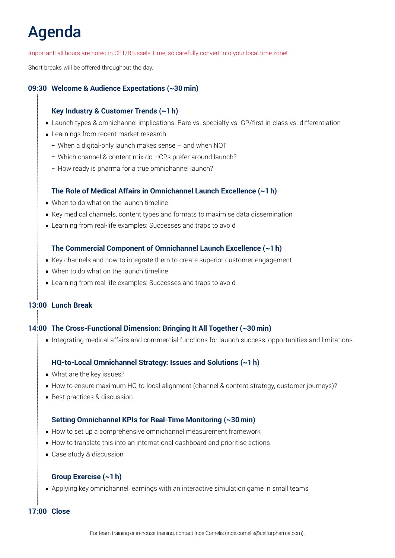# Agenda

Important: all hours are noted in CET/Brussels Time, so carefully convert into your local time zone!

Short breaks will be offered throughout the day.

#### **09:30 Welcome & Audience Expectations (~30 min)**

#### **Key Industry & Customer Trends (~1 h)**

- Launch types & omnichannel implications: Rare vs. specialty vs. GP/first-in-class vs. differentiation
- Learnings from recent market research
	- When a digital-only launch makes sense and when NOT
	- Which channel & content mix do HCPs prefer around launch?
	- How ready is pharma for a true omnichannel launch?

#### **The Role of Medical Affairs in Omnichannel Launch Excellence (~1 h)**

- When to do what on the launch timeline
- Key medical channels, content types and formats to maximise data dissemination
- Learning from real-life examples: Successes and traps to avoid

#### **The Commercial Component of Omnichannel Launch Excellence (~1 h)**

- Key channels and how to integrate them to create superior customer engagement
- When to do what on the launch timeline
- Learning from real-life examples: Successes and traps to avoid

#### **13:00 Lunch Break**

#### **14:00 The Cross-Functional Dimension: Bringing It All Together (~30 min)**

• Integrating medical affairs and commercial functions for launch success: opportunities and limitations

#### **HQ-to-Local Omnichannel Strategy: Issues and Solutions (~1 h)**

- What are the key issues?
- How to ensure maximum HQ-to-local alignment (channel & content strategy, customer journeys)?
- Best practices & discussion

#### **Setting Omnichannel KPIs for Real-Time Monitoring (~30 min)**

- How to set up a comprehensive omnichannel measurement framework
- How to translate this into an international dashboard and prioritise actions
- Case study & discussion

#### **Group Exercise (~1 h)**

• Applying key omnichannel learnings with an interactive simulation game in small teams

#### **17:00 Close**